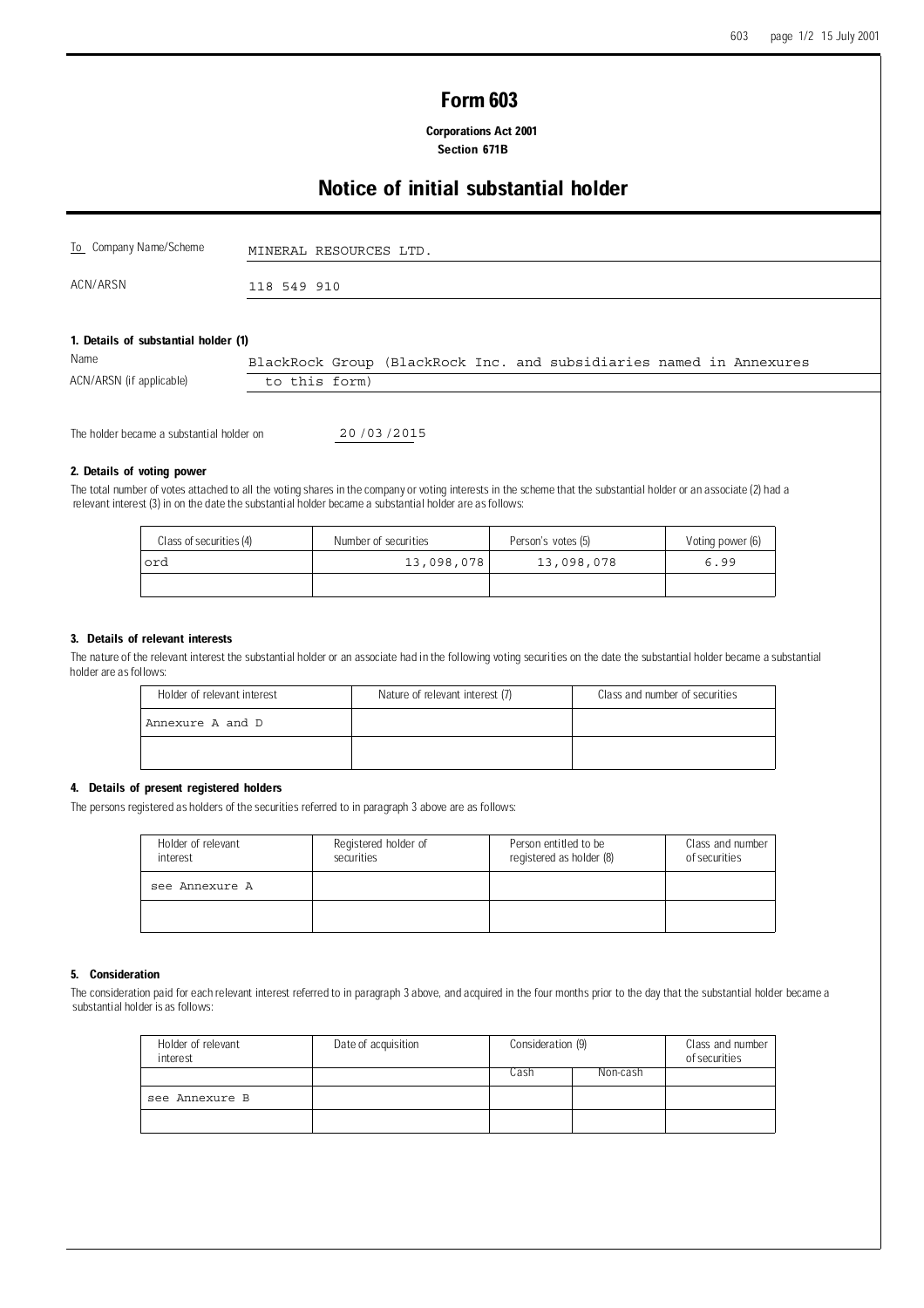# Form 603

 Corporations Act 2001 Section 671B

# Notice of initial substantial holder

| To Company Name/Scheme                   | MINERAL RESOURCES LTD. |
|------------------------------------------|------------------------|
| ACN/ARSN                                 | 118 549 910            |
| 4. Describe of coloradorated bedden (4). |                        |

#### 1. Details of substantial holder (1)

|                          |               |  |  | BlackRock Group (BlackRock Inc. and subsidiaries named in Annexures |  |
|--------------------------|---------------|--|--|---------------------------------------------------------------------|--|
| ACN/ARSN (if applicable) | to this form) |  |  |                                                                     |  |

The holder became a substantial holder on

20 / 03 / 2015

## 2. Details of voting power

The total number of votes attached to all the voting shares in the company or voting interests in the scheme that the substantial holder or an associate (2) had a relevant interest (3) in on the date the substantial holder became a substantial holder are as follows:

| Class of securities (4) | Number of securities | Person's votes (5) | Voting power (6) |
|-------------------------|----------------------|--------------------|------------------|
| ord                     | 13,098,078           | 13,098,078         | 6.99             |
|                         |                      |                    |                  |

# 3. Details of relevant interests

The nature of the relevant interest the substantial holder or an associate had in the following voting securities on the date the substantial holder became a substantial holder are as follows:

| Holder of relevant interest | Nature of relevant interest (7) | Class and number of securities |
|-----------------------------|---------------------------------|--------------------------------|
| Annexure A and D            |                                 |                                |
|                             |                                 |                                |

## 4. Details of present registered holders

The persons registered as holders of the securities referred to in paragraph 3 above are as follows:

| Holder of relevant<br>interest | Registered holder of<br>securities | Person entitled to be<br>registered as holder (8) | Class and number<br>of securities |
|--------------------------------|------------------------------------|---------------------------------------------------|-----------------------------------|
| see Annexure A                 |                                    |                                                   |                                   |
|                                |                                    |                                                   |                                   |

### 5. Consideration

The consideration paid for each relevant interest referred to in paragraph 3 above, and acquired in the four months prior to the day that the substantial holder became a substantial holder is as follows:

| Holder of relevant<br>interest | Date of acquisition | Consideration (9) |          | Class and number<br>of securities |
|--------------------------------|---------------------|-------------------|----------|-----------------------------------|
|                                |                     | Cash              | Non-cash |                                   |
| see Annexure B                 |                     |                   |          |                                   |
|                                |                     |                   |          |                                   |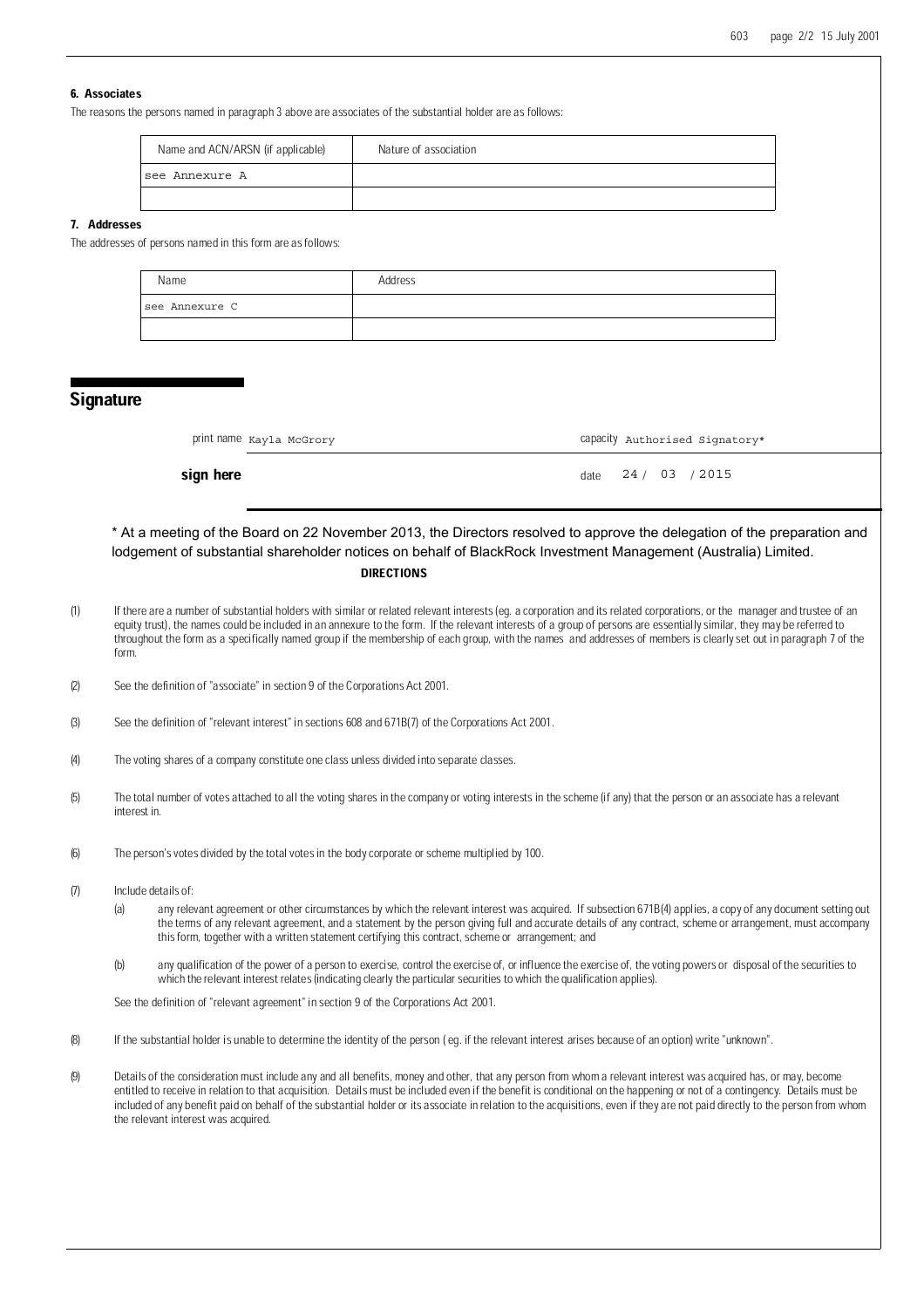# 6. Associates

The reasons the persons named in paragraph 3 above are associates of the substantial holder are as follows:

| Name and ACN/ARSN (if applicable) | Nature of association |
|-----------------------------------|-----------------------|
| see Annexure A                    |                       |
|                                   |                       |

### 7. Addresses

The addresses of persons named in this form are as follows:

| Name           | Address |
|----------------|---------|
| see Annexure C |         |
|                |         |

# **Signature**

| print name Kayla McGrory | capacity Authorised Signatory* |  |
|--------------------------|--------------------------------|--|
|                          |                                |  |

#### **sign here** date  $\frac{24}{103}$  / 24 / 03 / 2015

# **DIRECTIONS** \* At a meeting of the Board on 22 November 2013, the Directors resolved to approve the delegation of the preparation and lodgement of substantial shareholder notices on behalf of BlackRock Investment Management (Australia) Limited.

- (1) If there are a number of substantial holders with similar or related relevant interests (eg. a corporation and its related corporations, or the manager and trustee of an equity trust), the names could be included in an annexure to the form. If the relevant interests of a group of persons are essentially similar, they may be referred to throughout the form as a specifically named group if the membership of each group, with the names and addresses of members is clearly set out in paragraph 7 of the form.
- (2) See the definition of "associate" in section 9 of the Corporations Act 2001.
- (3) See the definition of "relevant interest" in sections 608 and 671B(7) of the Corporations Act 2001.
- (4) The voting shares of a company constitute one class unless divided into separate classes.
- (5) The total number of votes attached to all the voting shares in the company or voting interests in the scheme (if any) that the person or an associate has a relevant interest in.
- (6) The person's votes divided by the total votes in the body corporate or scheme multiplied by 100.
- (7) Include details of:
	- (a) any relevant agreement or other circumstances by which the relevant interest was acquired. If subsection 671B(4) applies, a copy of any document setting out the terms of any relevant agreement, and a statement by the person giving full and accurate details of any contract, scheme or arrangement, must accompany this form, together with a written statement certifying this contract, scheme or arrangement; and
	- (b) any qualification of the power of a person to exercise, control the exercise of, or influence the exercise of, the voting powers or disposal of the securities to which the relevant interest relates (indicating clearly the particular securities to which the qualification applies).

See the definition of "relevant agreement" in section 9 of the Corporations Act 2001.

- (8) If the substantial holder is unable to determine the identity of the person ( eg. if the relevant interest arises because of an option) write "unknown".
- (9) Details of the consideration must include any and all benefits, money and other, that any person from whom a relevant interest was acquired has, or may, become entitled to receive in relation to that acquisition. Details must be included even if the benefit is conditional on the happening or not of a contingency. Details must be included of any benefit paid on behalf of the substantial holder or its associate in relation to the acquisitions, even if they are not paid directly to the person from whom the relevant interest was acquired.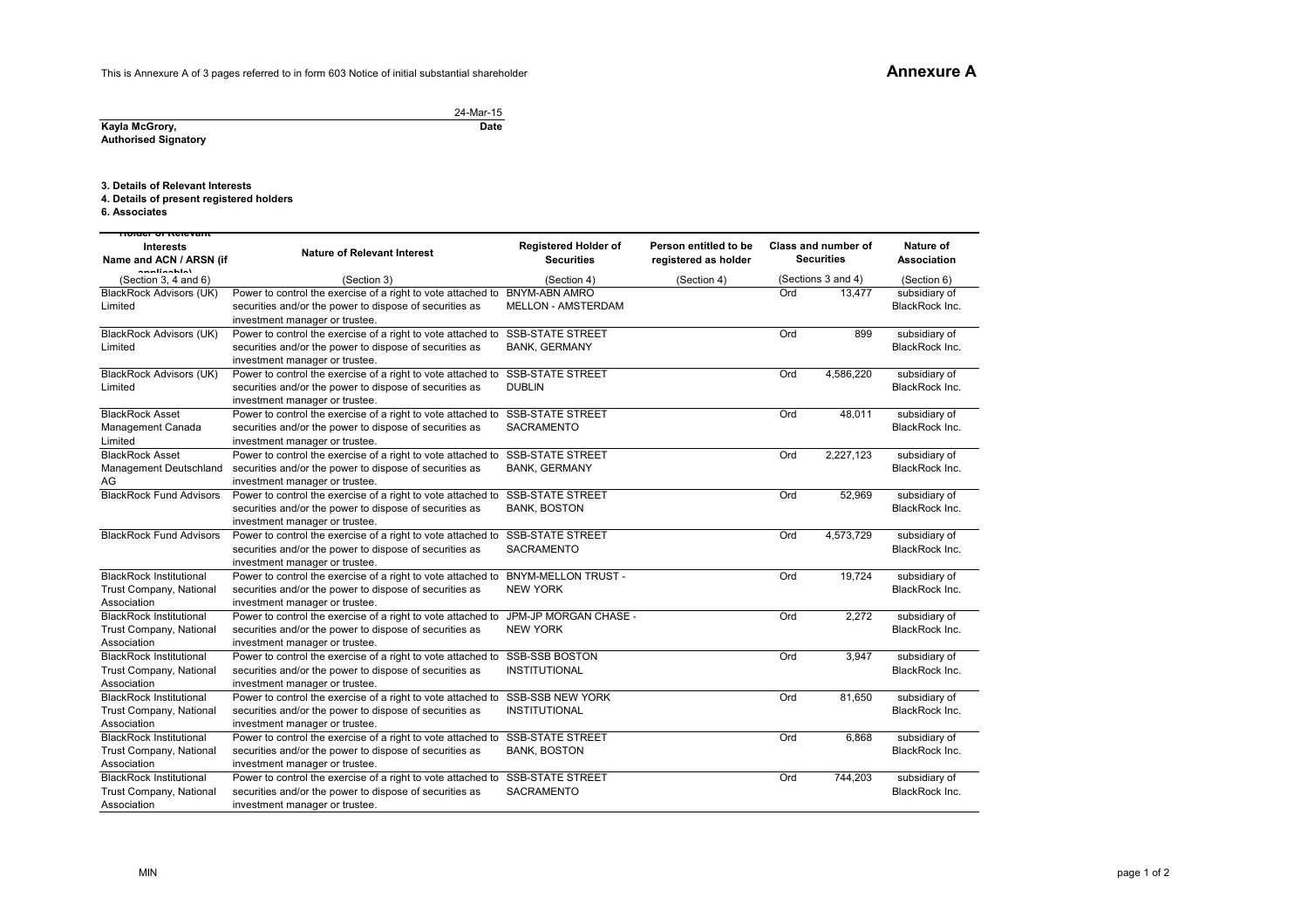This is Annexure A of 3 pages referred to in form 603 Notice of initial substantial shareholder

24-Mar-15**Date**

**Kayla McGrory, Authorised Signatory**

**3. Details of Relevant Interests**

**4. Details of present registered holders**

**6. Associates**

| <del>noider or Relevant</del>          |                                                              |                                                  |                                               |     |                                                 |                                 |
|----------------------------------------|--------------------------------------------------------------|--------------------------------------------------|-----------------------------------------------|-----|-------------------------------------------------|---------------------------------|
| Interests<br>Name and ACN / ARSN (if   | <b>Nature of Relevant Interest</b>                           | <b>Registered Holder of</b><br><b>Securities</b> | Person entitled to be<br>registered as holder |     | <b>Class and number of</b><br><b>Securities</b> | Nature of<br><b>Association</b> |
| annilaahlat<br>(Section 3, 4 and $6$ ) | (Section 3)                                                  | (Section 4)                                      | (Section 4)                                   |     | (Sections 3 and 4)                              | (Section 6)                     |
| <b>BlackRock Advisors (UK)</b>         | Power to control the exercise of a right to vote attached to | <b>BNYM-ABN AMRO</b>                             |                                               | Ord | 13,477                                          | subsidiary of                   |
| Limited                                | securities and/or the power to dispose of securities as      | <b>MELLON - AMSTERDAM</b>                        |                                               |     |                                                 | BlackRock Inc.                  |
|                                        | investment manager or trustee.                               |                                                  |                                               |     |                                                 |                                 |
| <b>BlackRock Advisors (UK)</b>         | Power to control the exercise of a right to vote attached to | <b>SSB-STATE STREET</b>                          |                                               | Ord | 899                                             | subsidiary of                   |
| Limited                                | securities and/or the power to dispose of securities as      | <b>BANK, GERMANY</b>                             |                                               |     |                                                 | BlackRock Inc.                  |
|                                        | investment manager or trustee.                               |                                                  |                                               |     |                                                 |                                 |
| <b>BlackRock Advisors (UK)</b>         | Power to control the exercise of a right to vote attached to | <b>SSB-STATE STREET</b>                          |                                               | Ord | 4,586,220                                       | subsidiary of                   |
| Limited                                | securities and/or the power to dispose of securities as      | <b>DUBLIN</b>                                    |                                               |     |                                                 | BlackRock Inc.                  |
|                                        | investment manager or trustee.                               |                                                  |                                               |     |                                                 |                                 |
| <b>BlackRock Asset</b>                 | Power to control the exercise of a right to vote attached to | <b>SSB-STATE STREET</b>                          |                                               | Ord | 48,011                                          | subsidiary of                   |
| Management Canada                      | securities and/or the power to dispose of securities as      | <b>SACRAMENTO</b>                                |                                               |     |                                                 | BlackRock Inc.                  |
| Limited                                | investment manager or trustee.                               |                                                  |                                               |     |                                                 |                                 |
| <b>BlackRock Asset</b>                 | Power to control the exercise of a right to vote attached to | <b>SSB-STATE STREET</b>                          |                                               | Ord | 2,227,123                                       | subsidiary of                   |
| Management Deutschland                 | securities and/or the power to dispose of securities as      | <b>BANK, GERMANY</b>                             |                                               |     |                                                 | BlackRock Inc.                  |
| AG                                     | investment manager or trustee.                               |                                                  |                                               |     |                                                 |                                 |
| <b>BlackRock Fund Advisors</b>         | Power to control the exercise of a right to vote attached to | <b>SSB-STATE STREET</b>                          |                                               | Ord | 52,969                                          | subsidiary of                   |
|                                        | securities and/or the power to dispose of securities as      | <b>BANK, BOSTON</b>                              |                                               |     |                                                 | BlackRock Inc.                  |
|                                        | investment manager or trustee.                               |                                                  |                                               |     |                                                 |                                 |
| <b>BlackRock Fund Advisors</b>         | Power to control the exercise of a right to vote attached to | <b>SSB-STATE STREET</b>                          |                                               | Ord | 4,573,729                                       | subsidiary of                   |
|                                        | securities and/or the power to dispose of securities as      | SACRAMENTO                                       |                                               |     |                                                 | BlackRock Inc.                  |
|                                        | investment manager or trustee.                               |                                                  |                                               |     |                                                 |                                 |
| <b>BlackRock Institutional</b>         | Power to control the exercise of a right to vote attached to | <b>BNYM-MELLON TRUST -</b>                       |                                               | Ord | 19,724                                          | subsidiary of                   |
| Trust Company, National                | securities and/or the power to dispose of securities as      | <b>NEW YORK</b>                                  |                                               |     |                                                 | BlackRock Inc.                  |
| Association                            | investment manager or trustee.                               |                                                  |                                               |     |                                                 |                                 |
| <b>BlackRock Institutional</b>         | Power to control the exercise of a right to vote attached to | JPM-JP MORGAN CHASE -                            |                                               | Ord | 2,272                                           | subsidiary of                   |
| Trust Company, National                | securities and/or the power to dispose of securities as      | <b>NEW YORK</b>                                  |                                               |     |                                                 | BlackRock Inc.                  |
| Association                            | investment manager or trustee.                               |                                                  |                                               |     |                                                 |                                 |
| <b>BlackRock Institutional</b>         | Power to control the exercise of a right to vote attached to | <b>SSB-SSB BOSTON</b>                            |                                               | Ord | 3,947                                           | subsidiary of                   |
| Trust Company, National                | securities and/or the power to dispose of securities as      | <b>INSTITUTIONAL</b>                             |                                               |     |                                                 | BlackRock Inc.                  |
| Association                            | investment manager or trustee.                               |                                                  |                                               |     |                                                 |                                 |
| <b>BlackRock Institutional</b>         | Power to control the exercise of a right to vote attached to | SSB-SSB NEW YORK                                 |                                               | Ord | 81,650                                          | subsidiary of                   |
| Trust Company, National                | securities and/or the power to dispose of securities as      | <b>INSTITUTIONAL</b>                             |                                               |     |                                                 | BlackRock Inc.                  |
| Association                            | investment manager or trustee.                               |                                                  |                                               |     |                                                 |                                 |
| <b>BlackRock Institutional</b>         | Power to control the exercise of a right to vote attached to | <b>SSB-STATE STREET</b>                          |                                               | Ord | 6,868                                           | subsidiary of                   |
| Trust Company, National                | securities and/or the power to dispose of securities as      | <b>BANK, BOSTON</b>                              |                                               |     |                                                 | BlackRock Inc.                  |
| Association                            | investment manager or trustee.                               |                                                  |                                               |     |                                                 |                                 |
| <b>BlackRock Institutional</b>         | Power to control the exercise of a right to vote attached to | <b>SSB-STATE STREET</b>                          |                                               | Ord | 744,203                                         | subsidiary of                   |
| Trust Company, National                | securities and/or the power to dispose of securities as      | SACRAMENTO                                       |                                               |     |                                                 | BlackRock Inc.                  |
| Association                            | investment manager or trustee.                               |                                                  |                                               |     |                                                 |                                 |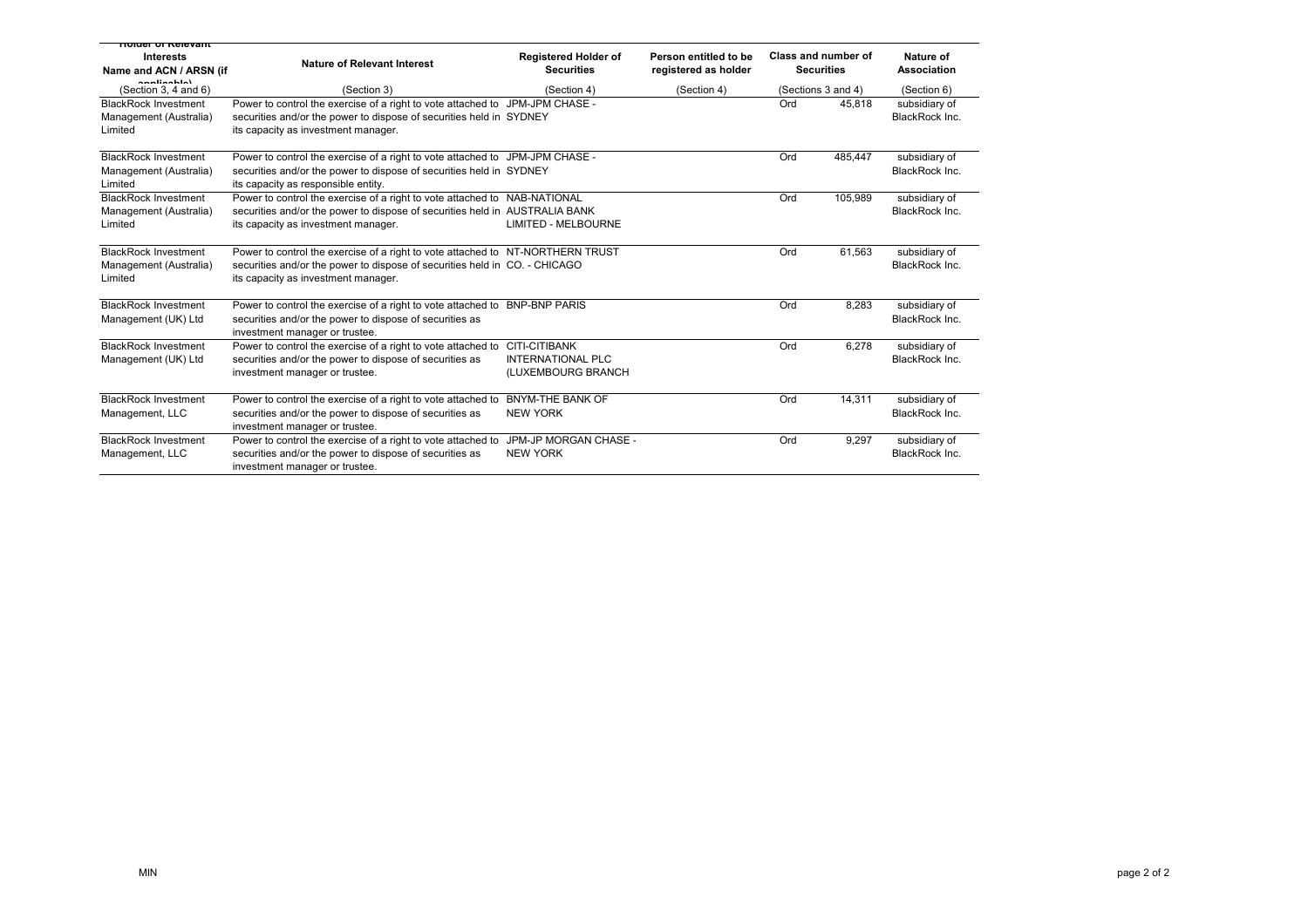| noluer of Relevant<br><b>Interests</b><br>Name and ACN / ARSN (if<br>annliaghla) | <b>Nature of Relevant Interest</b>                                                                                                                                                                  | <b>Registered Holder of</b><br><b>Securities</b>                       | Person entitled to be<br>registered as holder |     | Class and number of<br><b>Securities</b> | Nature of<br>Association        |
|----------------------------------------------------------------------------------|-----------------------------------------------------------------------------------------------------------------------------------------------------------------------------------------------------|------------------------------------------------------------------------|-----------------------------------------------|-----|------------------------------------------|---------------------------------|
| (Section 3, 4 and $6$ )                                                          | (Section 3)                                                                                                                                                                                         | (Section 4)                                                            | (Section 4)                                   |     | (Sections 3 and 4)                       | (Section 6)                     |
| <b>BlackRock Investment</b><br>Management (Australia)<br>Limited                 | Power to control the exercise of a right to vote attached to JPM-JPM CHASE -<br>securities and/or the power to dispose of securities held in SYDNEY<br>its capacity as investment manager.          |                                                                        |                                               | Ord | 45.818                                   | subsidiary of<br>BlackRock Inc. |
| <b>BlackRock Investment</b><br>Management (Australia)<br>Limited                 | Power to control the exercise of a right to vote attached to JPM-JPM CHASE -<br>securities and/or the power to dispose of securities held in SYDNEY<br>its capacity as responsible entity.          |                                                                        |                                               | Ord | 485.447                                  | subsidiary of<br>BlackRock Inc. |
| <b>BlackRock Investment</b><br>Management (Australia)<br>Limited                 | Power to control the exercise of a right to vote attached to NAB-NATIONAL<br>securities and/or the power to dispose of securities held in AUSTRALIA BANK<br>its capacity as investment manager.     | <b>LIMITED - MELBOURNE</b>                                             |                                               | Ord | 105.989                                  | subsidiary of<br>BlackRock Inc. |
| <b>BlackRock Investment</b><br>Management (Australia)<br>Limited                 | Power to control the exercise of a right to vote attached to NT-NORTHERN TRUST<br>securities and/or the power to dispose of securities held in CO. - CHICAGO<br>its capacity as investment manager. |                                                                        |                                               | Ord | 61,563                                   | subsidiary of<br>BlackRock Inc. |
| <b>BlackRock Investment</b><br>Management (UK) Ltd                               | Power to control the exercise of a right to vote attached to<br>securities and/or the power to dispose of securities as<br>investment manager or trustee.                                           | <b>BNP-BNP PARIS</b>                                                   |                                               | Ord | 8,283                                    | subsidiary of<br>BlackRock Inc. |
| <b>BlackRock Investment</b><br>Management (UK) Ltd                               | Power to control the exercise of a right to vote attached to<br>securities and/or the power to dispose of securities as<br>investment manager or trustee.                                           | <b>CITI-CITIBANK</b><br><b>INTERNATIONAL PLC</b><br>(LUXEMBOURG BRANCH |                                               | Ord | 6,278                                    | subsidiary of<br>BlackRock Inc. |
| <b>BlackRock Investment</b><br>Management, LLC                                   | Power to control the exercise of a right to vote attached to<br>securities and/or the power to dispose of securities as<br>investment manager or trustee.                                           | <b>BNYM-THE BANK OF</b><br><b>NEW YORK</b>                             |                                               | Ord | 14,311                                   | subsidiary of<br>BlackRock Inc. |
| <b>BlackRock Investment</b><br>Management, LLC                                   | Power to control the exercise of a right to vote attached to<br>securities and/or the power to dispose of securities as<br>investment manager or trustee.                                           | JPM-JP MORGAN CHASE -<br><b>NEW YORK</b>                               |                                               | Ord | 9,297                                    | subsidiary of<br>BlackRock Inc. |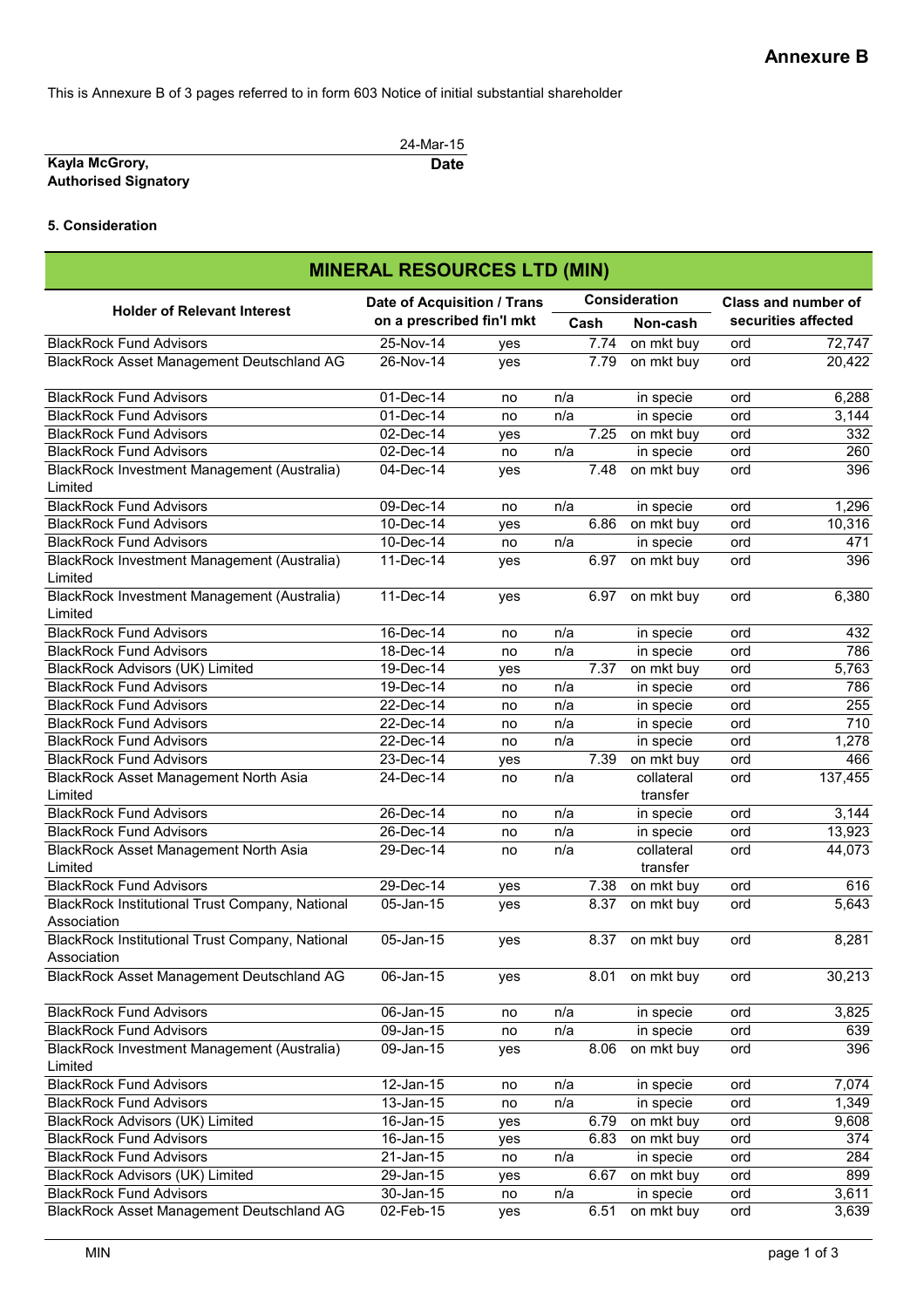This is Annexure B of 3 pages referred to in form 603 Notice of initial substantial shareholder

|                             | 24-Mar-15   |
|-----------------------------|-------------|
| Kayla McGrory,              | <b>Date</b> |
| <b>Authorised Signatory</b> |             |

# **5. Consideration**

| <b>MINERAL RESOURCES LTD (MIN)</b>                             |                             |     |               |      |                        |     |                            |
|----------------------------------------------------------------|-----------------------------|-----|---------------|------|------------------------|-----|----------------------------|
|                                                                | Date of Acquisition / Trans |     | Consideration |      |                        |     | <b>Class and number of</b> |
| <b>Holder of Relevant Interest</b>                             | on a prescribed fin'l mkt   |     |               | Cash | Non-cash               |     | securities affected        |
| <b>BlackRock Fund Advisors</b>                                 | $25-Nov-14$                 | yes |               | 7.74 | on mkt buy             | ord | 72,747                     |
| BlackRock Asset Management Deutschland AG                      | 26-Nov-14                   | yes |               | 7.79 | on mkt buy             | ord | 20,422                     |
| <b>BlackRock Fund Advisors</b>                                 | 01-Dec-14                   | no  | n/a           |      | in specie              | ord | 6,288                      |
| <b>BlackRock Fund Advisors</b>                                 | $\overline{01-Dec-14}$      | no  | n/a           |      | in specie              | ord | 3,144                      |
| <b>BlackRock Fund Advisors</b>                                 | $02$ -Dec-14                | yes |               | 7.25 | on mkt buy             | ord | 332                        |
| <b>BlackRock Fund Advisors</b>                                 | 02-Dec-14                   | no  | n/a           |      | in specie              | ord | 260                        |
| BlackRock Investment Management (Australia)<br>Limited         | 04-Dec-14                   | yes |               | 7.48 | on mkt buy             | ord | 396                        |
| <b>BlackRock Fund Advisors</b>                                 | 09-Dec-14                   | no  | n/a           |      | in specie              | ord | 1,296                      |
| <b>BlackRock Fund Advisors</b>                                 | 10-Dec-14                   | yes |               | 6.86 | on mkt buy             | ord | 10,316                     |
| <b>BlackRock Fund Advisors</b>                                 | 10-Dec-14                   | no  | n/a           |      | in specie              | ord | 471                        |
| BlackRock Investment Management (Australia)<br>Limited         | 11-Dec-14                   | yes |               | 6.97 | on mkt buy             | ord | 396                        |
| BlackRock Investment Management (Australia)<br>Limited         | 11-Dec-14                   | yes |               | 6.97 | on mkt buy             | ord | 6,380                      |
| <b>BlackRock Fund Advisors</b>                                 | 16-Dec-14                   | no  | n/a           |      | in specie              | ord | 432                        |
| <b>BlackRock Fund Advisors</b>                                 | $18$ -Dec-14                | no  | n/a           |      | in specie              | ord | 786                        |
| <b>BlackRock Advisors (UK) Limited</b>                         | 19-Dec-14                   | yes |               | 7.37 | on mkt buy             | ord | 5,763                      |
| <b>BlackRock Fund Advisors</b>                                 | 19-Dec-14                   | no  | n/a           |      | in specie              | ord | 786                        |
| <b>BlackRock Fund Advisors</b>                                 | 22-Dec-14                   | no  | n/a           |      | in specie              | ord | 255                        |
| <b>BlackRock Fund Advisors</b>                                 | 22-Dec-14                   | no  | n/a           |      | in specie              | ord | 710                        |
| <b>BlackRock Fund Advisors</b>                                 | 22-Dec-14                   | no  | n/a           |      | in specie              | ord | 1,278                      |
| <b>BlackRock Fund Advisors</b>                                 | 23-Dec-14                   | yes |               | 7.39 | on mkt buy             | ord | 466                        |
| BlackRock Asset Management North Asia<br>Limited               | 24-Dec-14                   | no  | n/a           |      | collateral<br>transfer | ord | 137,455                    |
| <b>BlackRock Fund Advisors</b>                                 | 26-Dec-14                   | no  | n/a           |      | in specie              | ord | 3,144                      |
| <b>BlackRock Fund Advisors</b>                                 | 26-Dec-14                   | no  | n/a           |      | in specie              | ord | 13,923                     |
| BlackRock Asset Management North Asia<br>Limited               | 29-Dec-14                   | no  | n/a           |      | collateral<br>transfer | ord | 44,073                     |
| <b>BlackRock Fund Advisors</b>                                 | $29$ -Dec-14                | yes |               | 7.38 | on mkt buy             | ord | 616                        |
| BlackRock Institutional Trust Company, National<br>Association | 05-Jan-15                   | yes |               | 8.37 | on mkt buy             | ord | 5,643                      |
| BlackRock Institutional Trust Company, National<br>Association | 05-Jan-15                   | yes |               | 8.37 | on mkt buy             | ord | 8,281                      |
| BlackRock Asset Management Deutschland AG                      | 06-Jan-15                   | yes |               | 8.01 | on mkt buy             | ord | 30,213                     |
| <b>BlackRock Fund Advisors</b>                                 | 06-Jan-15                   | no  | n/a           |      | in specie              | ord | 3,825                      |
| <b>BlackRock Fund Advisors</b>                                 | 09-Jan-15                   | no  | n/a           |      | in specie              | ord | 639                        |
| BlackRock Investment Management (Australia)<br>Limited         | 09-Jan-15                   | yes |               | 8.06 | on mkt buy             | ord | 396                        |
| <b>BlackRock Fund Advisors</b>                                 | 12-Jan-15                   | no  | n/a           |      | in specie              | ord | 7,074                      |
| <b>BlackRock Fund Advisors</b>                                 | 13-Jan-15                   | no  | n/a           |      | in specie              | ord | 1,349                      |
| BlackRock Advisors (UK) Limited                                | 16-Jan-15                   | yes |               | 6.79 | on mkt buy             | ord | 9,608                      |
| <b>BlackRock Fund Advisors</b>                                 | 16-Jan-15                   | yes |               | 6.83 | on mkt buy             | ord | 374                        |
| <b>BlackRock Fund Advisors</b>                                 | 21-Jan-15                   | no  | n/a           |      | in specie              | ord | 284                        |
| <b>BlackRock Advisors (UK) Limited</b>                         | 29-Jan-15                   | yes |               | 6.67 | on mkt buy             | ord | 899                        |
| <b>BlackRock Fund Advisors</b>                                 | 30-Jan-15                   | no  | n/a           |      | in specie              | ord | 3,611                      |
| BlackRock Asset Management Deutschland AG                      | 02-Feb-15                   | yes |               | 6.51 | on mkt buy             | ord | 3,639                      |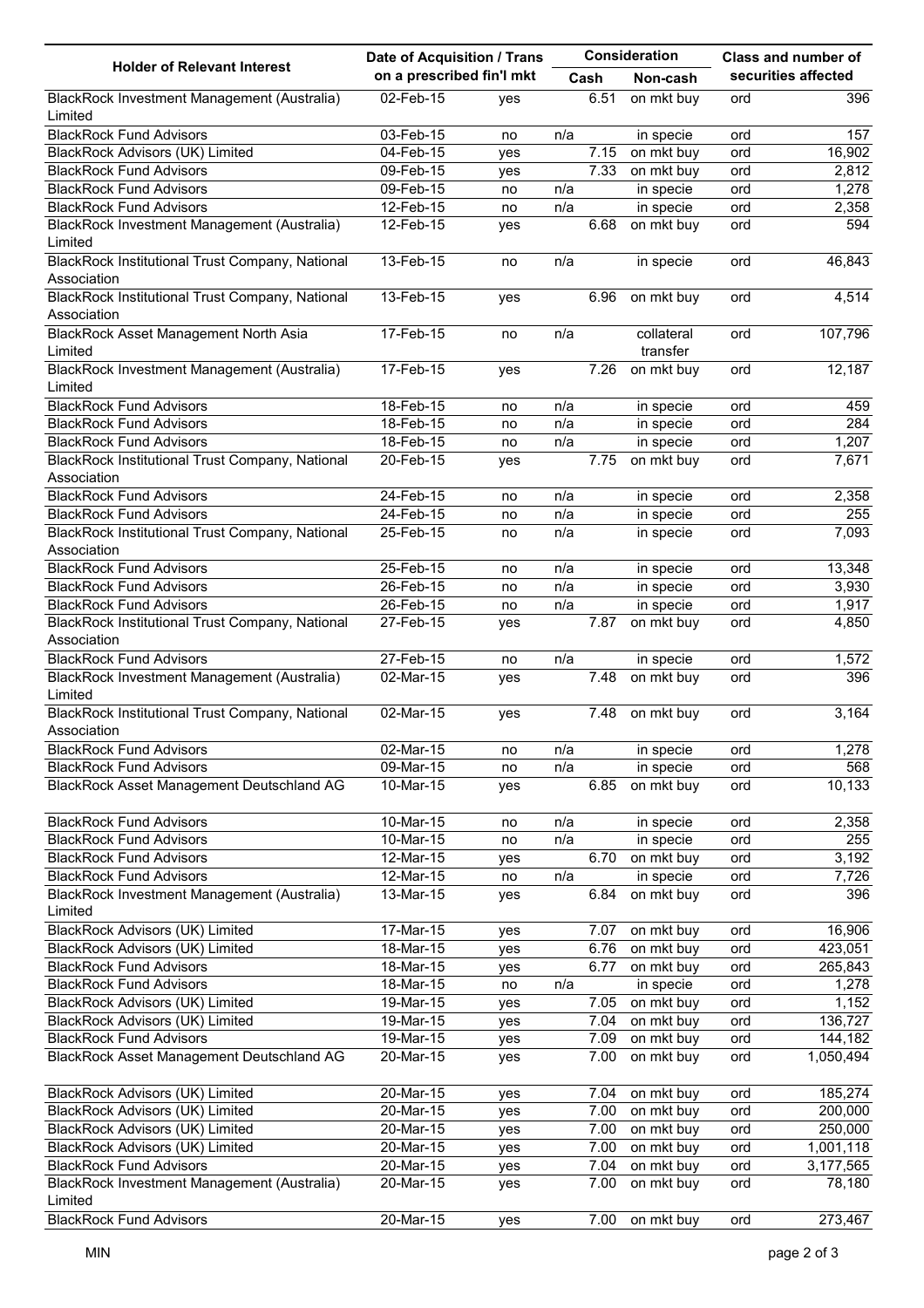|                                                                       |                           | Date of Acquisition / Trans |     |      | Consideration          | Class and number of |                     |
|-----------------------------------------------------------------------|---------------------------|-----------------------------|-----|------|------------------------|---------------------|---------------------|
| <b>Holder of Relevant Interest</b>                                    | on a prescribed fin'l mkt |                             |     | Cash | Non-cash               |                     | securities affected |
| BlackRock Investment Management (Australia)<br>Limited                | 02-Feb-15                 | yes                         |     | 6.51 | on mkt buy             | ord                 | 396                 |
| <b>BlackRock Fund Advisors</b>                                        | 03-Feb-15                 | no                          | n/a |      | in specie              | ord                 | 157                 |
| <b>BlackRock Advisors (UK) Limited</b>                                | 04-Feb-15                 | yes                         |     | 7.15 | on mkt buy             | ord                 | 16,902              |
| <b>BlackRock Fund Advisors</b>                                        | 09-Feb-15                 | yes                         |     | 7.33 | on mkt buy             | ord                 | 2,812               |
| <b>BlackRock Fund Advisors</b>                                        | 09-Feb-15                 | no                          | n/a |      | in specie              | ord                 | 1,278               |
| <b>BlackRock Fund Advisors</b>                                        | 12-Feb-15                 | no                          | n/a |      | in specie              | ord                 | 2,358               |
| BlackRock Investment Management (Australia)                           | 12-Feb-15                 | yes                         |     | 6.68 | on mkt buy             | ord                 | 594                 |
| Limited<br>BlackRock Institutional Trust Company, National            | 13-Feb-15                 |                             | n/a |      | in specie              |                     | 46,843              |
| Association                                                           |                           | no                          |     |      |                        | ord                 |                     |
| BlackRock Institutional Trust Company, National<br>Association        | 13-Feb-15                 | yes                         |     | 6.96 | on mkt buy             | ord                 | 4,514               |
| BlackRock Asset Management North Asia<br>Limited                      | 17-Feb-15                 | no                          | n/a |      | collateral<br>transfer | ord                 | 107,796             |
| BlackRock Investment Management (Australia)                           | 17-Feb-15                 | yes                         |     | 7.26 | on mkt buy             | ord                 | 12,187              |
| Limited                                                               |                           |                             |     |      |                        |                     |                     |
| <b>BlackRock Fund Advisors</b>                                        | 18-Feb-15                 | no                          | n/a |      | in specie              | ord                 | 459                 |
| <b>BlackRock Fund Advisors</b>                                        | 18-Feb-15                 | no                          | n/a |      | in specie              | ord                 | 284                 |
| <b>BlackRock Fund Advisors</b>                                        | 18-Feb-15                 | no                          | n/a |      | in specie              | ord                 | 1,207               |
| BlackRock Institutional Trust Company, National<br>Association        | 20-Feb-15                 | yes                         |     | 7.75 | on mkt buy             | ord                 | 7,671               |
| <b>BlackRock Fund Advisors</b>                                        | 24-Feb-15                 | no                          | n/a |      | in specie              | ord                 | 2,358               |
| <b>BlackRock Fund Advisors</b>                                        | 24-Feb-15                 | no                          | n/a |      | in specie              | ord                 | 255                 |
| BlackRock Institutional Trust Company, National                       | 25-Feb-15                 | no                          | n/a |      | in specie              | ord                 | 7,093               |
| Association                                                           |                           |                             |     |      |                        |                     |                     |
| <b>BlackRock Fund Advisors</b>                                        | 25-Feb-15                 | no                          | n/a |      | in specie              | ord                 | 13,348              |
| <b>BlackRock Fund Advisors</b>                                        | 26-Feb-15                 | no                          | n/a |      | in specie              | ord                 | 3,930               |
| <b>BlackRock Fund Advisors</b>                                        | 26-Feb-15                 | no                          | n/a |      | in specie              | ord                 | 1,917               |
| <b>BlackRock Institutional Trust Company, National</b><br>Association | 27-Feb-15                 | yes                         |     | 7.87 | on mkt buy             | ord                 | 4,850               |
| <b>BlackRock Fund Advisors</b>                                        | 27-Feb-15                 | no                          | n/a |      | in specie              | ord                 | 1,572               |
| BlackRock Investment Management (Australia)<br>Limited                | 02-Mar-15                 | yes                         |     | 7.48 | on mkt buy             | ord                 | 396                 |
| BlackRock Institutional Trust Company, National<br>Association        | 02-Mar-15                 | yes                         |     | 7.48 | on mkt buy             | ord                 | 3,164               |
|                                                                       | 02-Mar-15                 |                             |     |      |                        |                     | 1,278               |
| <b>BlackRock Fund Advisors</b><br><b>BlackRock Fund Advisors</b>      |                           | no                          | n/a |      | in specie              | ord                 | 568                 |
|                                                                       | 09-Mar-15                 | no                          | n/a |      | in specie              | ord                 |                     |
| BlackRock Asset Management Deutschland AG                             | 10-Mar-15                 | yes                         |     | 6.85 | on mkt buy             | ord                 | 10,133              |
| <b>BlackRock Fund Advisors</b>                                        | 10-Mar-15                 | no                          | n/a |      | in specie              | ord                 | 2,358               |
| <b>BlackRock Fund Advisors</b>                                        | 10-Mar-15                 | no                          | n/a |      | in specie              | ord                 | 255                 |
| <b>BlackRock Fund Advisors</b>                                        | 12-Mar-15                 | yes                         |     | 6.70 | on mkt buy             | ord                 | 3,192               |
| <b>BlackRock Fund Advisors</b>                                        | 12-Mar-15                 | no                          | n/a |      | in specie              | ord                 | 7,726               |
| BlackRock Investment Management (Australia)<br>Limited                | 13-Mar-15                 | yes                         |     | 6.84 | on mkt buy             | ord                 | 396                 |
| <b>BlackRock Advisors (UK) Limited</b>                                | 17-Mar-15                 | yes                         |     | 7.07 | on mkt buy             | ord                 | 16,906              |
| BlackRock Advisors (UK) Limited                                       | 18-Mar-15                 | yes                         |     | 6.76 | on mkt buy             | ord                 | 423,051             |
| <b>BlackRock Fund Advisors</b>                                        | 18-Mar-15                 | yes                         |     | 6.77 | on mkt buy             | ord                 | 265,843             |
| <b>BlackRock Fund Advisors</b>                                        | 18-Mar-15                 | no                          | n/a |      | in specie              | ord                 | 1,278               |
| <b>BlackRock Advisors (UK) Limited</b>                                | 19-Mar-15                 | yes                         |     | 7.05 | on mkt buy             | ord                 | 1,152               |
| BlackRock Advisors (UK) Limited                                       | 19-Mar-15                 | yes                         |     | 7.04 | on mkt buy             | ord                 | 136,727             |
| <b>BlackRock Fund Advisors</b>                                        | 19-Mar-15                 | yes                         |     | 7.09 | on mkt buy             | ord                 | 144,182             |
| BlackRock Asset Management Deutschland AG                             | $20$ -Mar-15              | yes                         |     | 7.00 | on mkt buy             | ord                 | 1,050,494           |
| <b>BlackRock Advisors (UK) Limited</b>                                | 20-Mar-15                 | yes                         |     | 7.04 | on mkt buy             | ord                 | 185,274             |
| BlackRock Advisors (UK) Limited                                       | 20-Mar-15                 | yes                         |     | 7.00 | on mkt buy             | ord                 | 200,000             |
| BlackRock Advisors (UK) Limited                                       | 20-Mar-15                 | yes                         |     | 7.00 | on mkt buy             | ord                 | 250,000             |
| BlackRock Advisors (UK) Limited                                       | 20-Mar-15                 | yes                         |     | 7.00 | on mkt buy             | ord                 | 1,001,118           |
| <b>BlackRock Fund Advisors</b>                                        | 20-Mar-15                 | yes                         |     | 7.04 | on mkt buy             | ord                 | 3,177,565           |
| BlackRock Investment Management (Australia)                           | 20-Mar-15                 | yes                         |     | 7.00 | on mkt buy             | ord                 | 78,180              |
| Limited<br><b>BlackRock Fund Advisors</b>                             | 20-Mar-15                 |                             |     | 7.00 | on mkt buy             | ord                 | 273,467             |
|                                                                       |                           | yes                         |     |      |                        |                     |                     |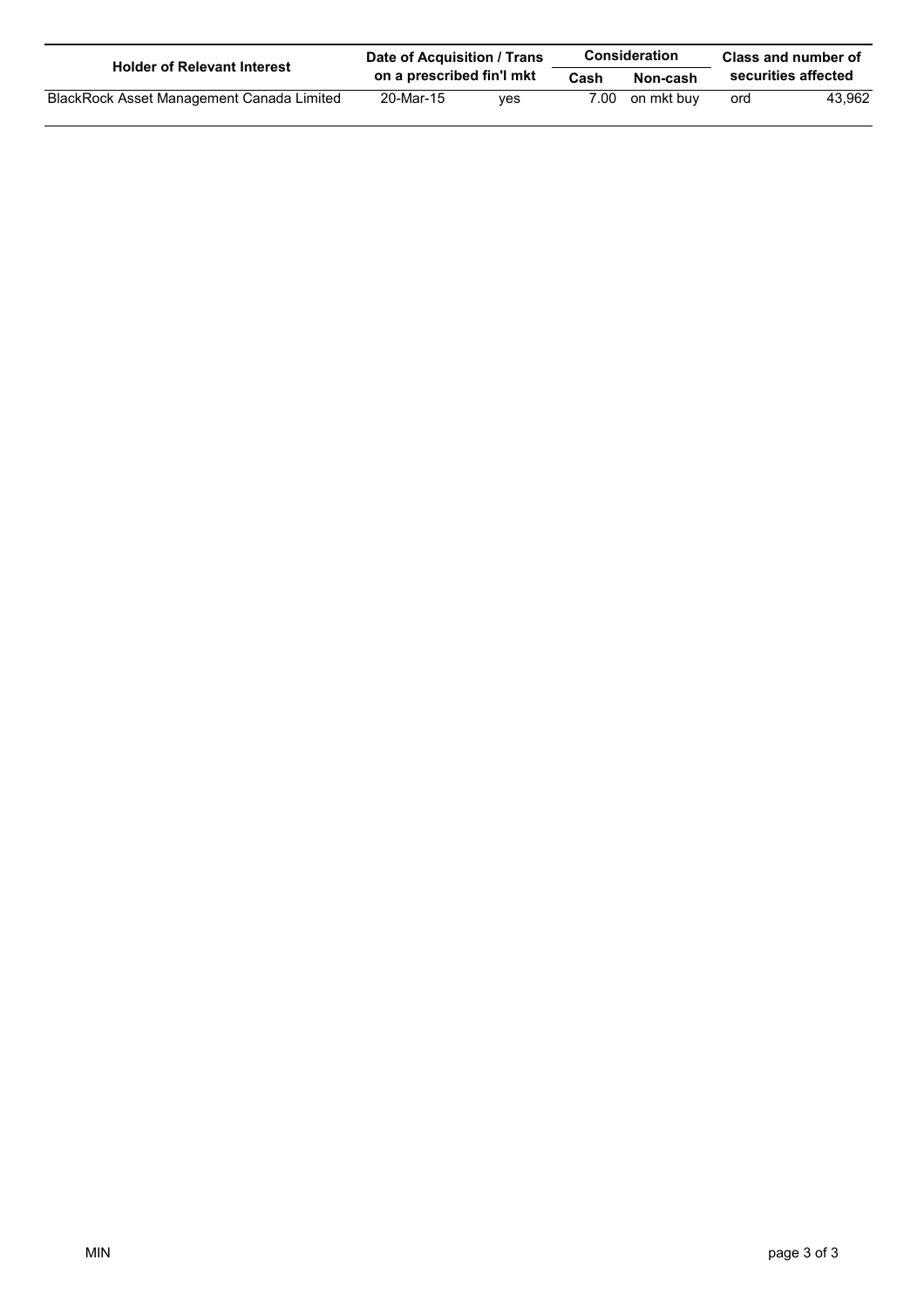| <b>Holder of Relevant Interest</b>        | Date of Acquisition / Trans |     |      | <b>Consideration</b> | Class and number of |        |
|-------------------------------------------|-----------------------------|-----|------|----------------------|---------------------|--------|
|                                           | on a prescribed fin'l mkt   |     | Cash | Non-cash             | securities affected |        |
| BlackRock Asset Management Canada Limited | 20-Mar-15                   | ves | 7.00 | on mkt buv           | ord                 | 43.962 |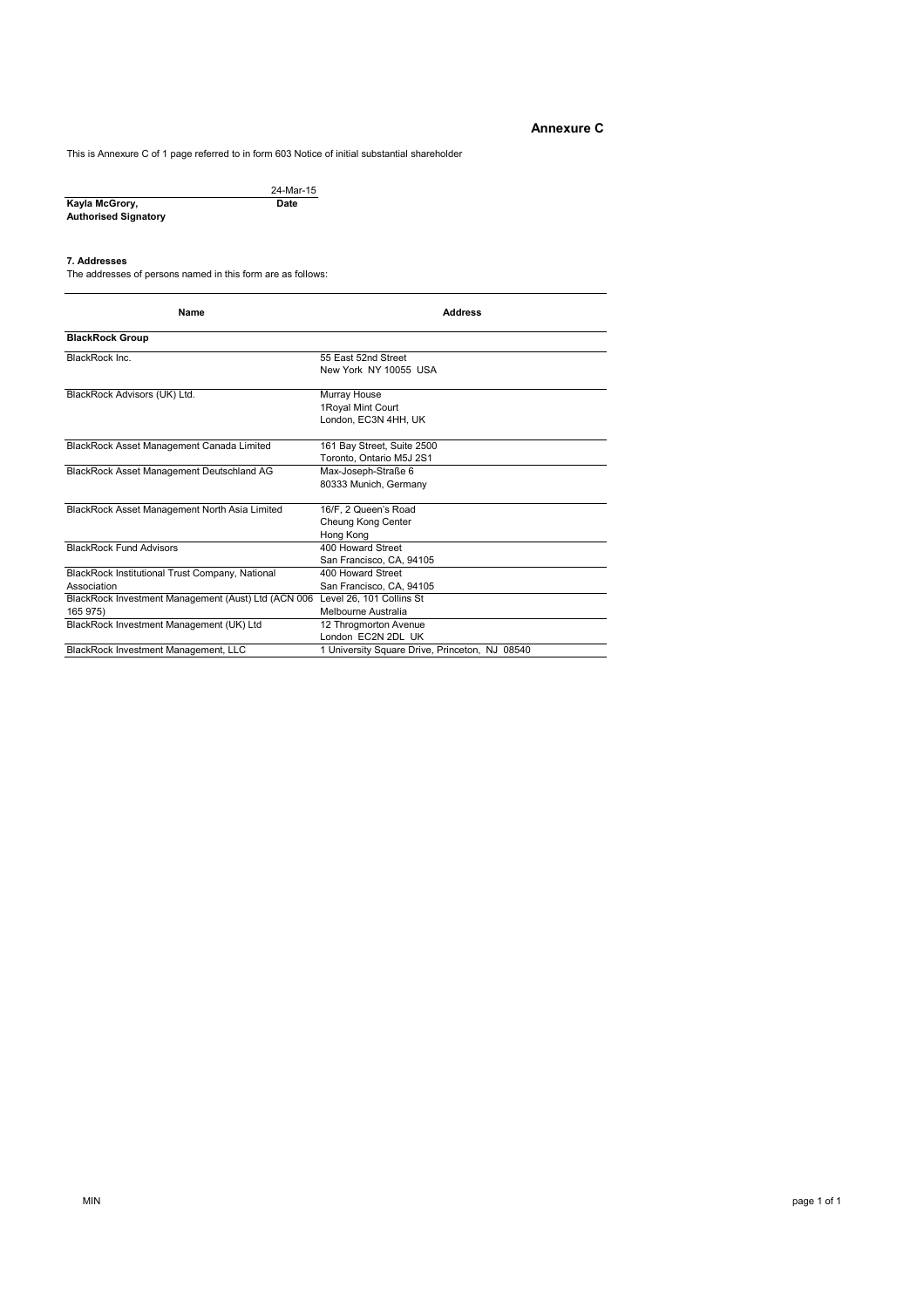# **Annexure C**

This is Annexure C of 1 page referred to in form 603 Notice of initial substantial shareholder

|                      | 24-Mar-15 |
|----------------------|-----------|
| Kayla McGrory,       | Date      |
| Authorised Signatory |           |

#### **7. Addresses**

The addresses of persons named in this form are as follows:

| Name                                                            | <b>Address</b>                                             |
|-----------------------------------------------------------------|------------------------------------------------------------|
| <b>BlackRock Group</b>                                          |                                                            |
| BlackRock Inc.                                                  | 55 East 52nd Street<br>New York NY 10055 USA               |
| BlackRock Advisors (UK) Ltd.                                    | Murray House<br>1 Royal Mint Court<br>London, EC3N 4HH, UK |
| BlackRock Asset Management Canada Limited                       | 161 Bay Street, Suite 2500<br>Toronto, Ontario M5J 2S1     |
| <b>BlackRock Asset Management Deutschland AG</b>                | Max-Joseph-Straße 6<br>80333 Munich, Germany               |
| BlackRock Asset Management North Asia Limited                   | 16/F. 2 Queen's Road<br>Cheung Kong Center<br>Hong Kong    |
| <b>BlackRock Fund Advisors</b>                                  | 400 Howard Street<br>San Francisco, CA, 94105              |
| BlackRock Institutional Trust Company, National<br>Association  | 400 Howard Street<br>San Francisco, CA, 94105              |
| BlackRock Investment Management (Aust) Ltd (ACN 006<br>165 975) | Level 26, 101 Collins St<br>Melbourne Australia            |
| BlackRock Investment Management (UK) Ltd                        | 12 Throgmorton Avenue<br>London EC2N 2DL UK                |
| BlackRock Investment Management, LLC                            | 1 University Square Drive, Princeton, NJ 08540             |